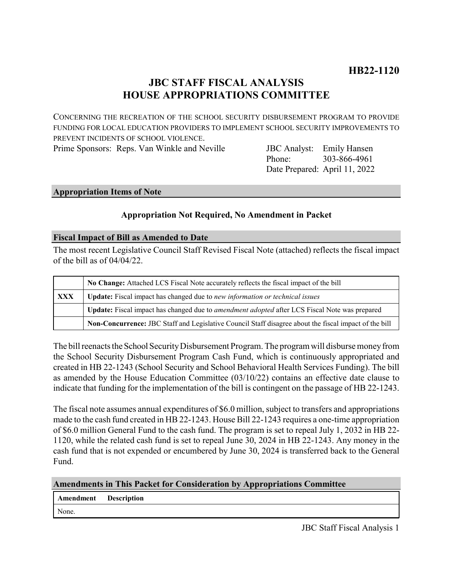# **JBC STAFF FISCAL ANALYSIS HOUSE APPROPRIATIONS COMMITTEE**

CONCERNING THE RECREATION OF THE SCHOOL SECURITY DISBURSEMENT PROGRAM TO PROVIDE FUNDING FOR LOCAL EDUCATION PROVIDERS TO IMPLEMENT SCHOOL SECURITY IMPROVEMENTS TO PREVENT INCIDENTS OF SCHOOL VIOLENCE.

Prime Sponsors: Reps. Van Winkle and Neville

Phone: Date Prepared: April 11, 2022 **JBC** Analyst: Emily Hansen 303-866-4961

## **Appropriation Items of Note**

## **Appropriation Not Required, No Amendment in Packet**

## **Fiscal Impact of Bill as Amended to Date**

The most recent Legislative Council Staff Revised Fiscal Note (attached) reflects the fiscal impact of the bill as of 04/04/22.

|            | No Change: Attached LCS Fiscal Note accurately reflects the fiscal impact of the bill                 |
|------------|-------------------------------------------------------------------------------------------------------|
| <b>XXX</b> | Update: Fiscal impact has changed due to new information or technical issues                          |
|            | Update: Fiscal impact has changed due to amendment adopted after LCS Fiscal Note was prepared         |
|            | Non-Concurrence: JBC Staff and Legislative Council Staff disagree about the fiscal impact of the bill |

The bill reenacts the School Security Disbursement Program. The program will disburse money from the School Security Disbursement Program Cash Fund, which is continuously appropriated and created in HB 22-1243 (School Security and School Behavioral Health Services Funding). The bill as amended by the House Education Committee (03/10/22) contains an effective date clause to indicate that funding for the implementation of the bill is contingent on the passage of HB 22-1243.

The fiscal note assumes annual expenditures of \$6.0 million, subject to transfers and appropriations made to the cash fund created in HB 22-1243. House Bill 22-1243 requires a one-time appropriation of \$6.0 million General Fund to the cash fund. The program is set to repeal July 1, 2032 in HB 22- 1120, while the related cash fund is set to repeal June 30, 2024 in HB 22-1243. Any money in the cash fund that is not expended or encumbered by June 30, 2024 is transferred back to the General Fund.

| <b>Amendments in This Packet for Consideration by Appropriations Committee</b> |  |  |  |  |  |  |
|--------------------------------------------------------------------------------|--|--|--|--|--|--|
|                                                                                |  |  |  |  |  |  |

| Amendment | <b>Description</b> |
|-----------|--------------------|
|-----------|--------------------|

None.